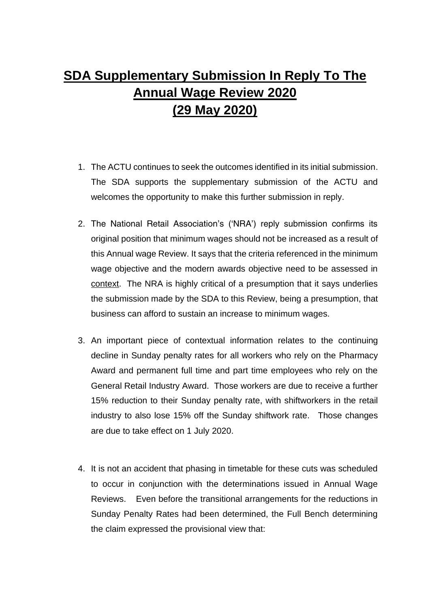## SDA Supplementary Submission In Reply To The Annual Wage Review 2020 (29 May 2020)

- 1. The ACTU continues to seek the outcomes identified in its initial submission. The SDA supports the supplementary submission of the ACTU and welcomes the opportunity to make this further submission in reply.
- 2. The National Retail Association's ('NRA') reply submission confirms its original position that minimum wages should not be increased as a result of this Annual wage Review. It says that the criteria referenced in the minimum wage objective and the modern awards objective need to be assessed in context. The NRA is highly critical of a presumption that it says underlies the submission made by the SDA to this Review, being a presumption, that business can afford to sustain an increase to minimum wages.
- 3. An important piece of contextual information relates to the continuing decline in Sunday penalty rates for all workers who rely on the *Pharmacy Award* and permanent full time and part time employees who rely on the *General Retail Industry Award.* Those workers are due to receive a further 15% reduction to their Sunday penalty rate, with shiftworkers in the retail industry to also lose 15% off the Sunday shiftwork rate. Those changes are due to take effect on 1 July 2020.
- 4. It is not an accident that phasing in timetable for these cuts was scheduled to occur in conjunction with the determinations issued in Annual Wage Reviews. Even before the transitional arrangements for the reductions in Sunday Penalty Rates had been determined, the Full Bench determining the claim expressed the provisional view that: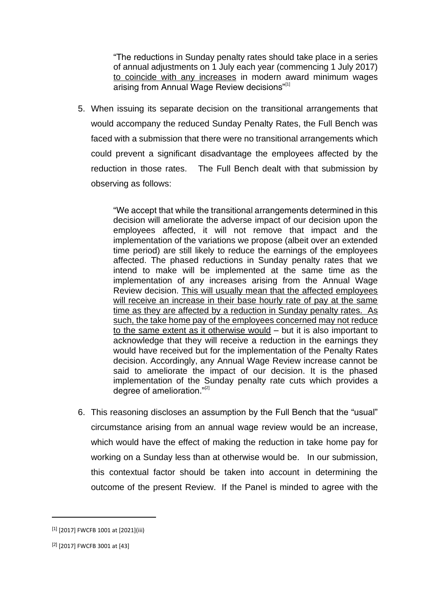"The reductions in Sunday penalty rates should take place in a series of annual adjustments on 1 July each year (commencing 1 July 2017) to coincide with any increases in modern award minimum wages arising from Annual Wage Review decisions"<sup>[1]</sup>

5. When issuing its separate decision on the transitional arrangements that would accompany the reduced Sunday Penalty Rates, the Full Bench was faced with a submission that there were no transitional arrangements which could prevent a significant disadvantage the employees affected by the reduction in those rates. The Full Bench dealt with that submission by observing as follows:

> "We accept that while the transitional arrangements determined in this decision will ameliorate the adverse impact of our decision upon the employees affected, it will not remove that impact and the implementation of the variations we propose (albeit over an extended time period) are still likely to reduce the earnings of the employees affected. The phased reductions in Sunday penalty rates that we intend to make will be implemented at the same time as the implementation of any increases arising from the Annual Wage Review decision. This will usually mean that the affected employees will receive an increase in their base hourly rate of pay at the same time as they are affected by a reduction in Sunday penalty rates. As such, the take home pay of the employees concerned may not reduce to the same extent as it otherwise would – but it is also important to acknowledge that they will receive a reduction in the earnings they would have received but for the implementation of the *Penalty Rates decision*. Accordingly, any Annual Wage Review increase cannot be said to ameliorate the impact of our decision. It is the phased implementation of the Sunday penalty rate cuts which provides a degree of amelioration."<sup>[2]</sup>

6. This reasoning discloses an assumption by the Full Bench that the "usual" circumstance arising from an annual wage review would be an increase, which would have the effect of making the reduction in take home pay for working on a Sunday less than at otherwise would be. In our submission, this contextual factor should be taken into account in determining the outcome of the present Review. If the Panel is minded to agree with the

-

<sup>[1] [2017]</sup> FWCFB 1001 at [2021](iii)

<sup>[2]</sup> [2017] FWCFB 3001 at [43]